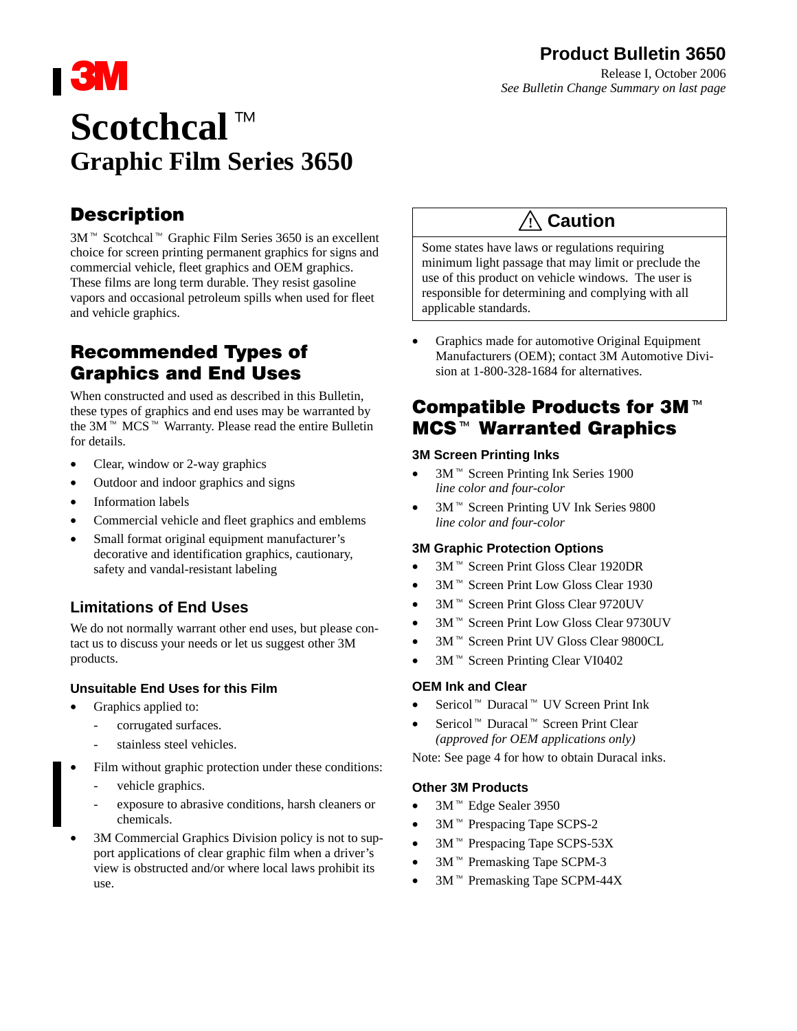

### Release I, October 2006 *See Bulletin Change Summary on last page*

# **Scotchcal**<sup>™</sup> **Graphic Film Series 3650**

### **Description**

3M<sup>™</sup> Scotchcal<sup>™</sup> Graphic Film Series 3650 is an excellent choice for screen printing permanent graphics for signs and commercial vehicle, fleet graphics and OEM graphics. These films are long term durable. They resist gasoline vapors and occasional petroleum spills when used for fleet and vehicle graphics.

### Recommended Types of Graphics and End Uses

When constructed and used as described in this Bulletin, these types of graphics and end uses may be warranted by the  $3M^{\pi}$  MCS  $^{\pi}$  Warranty. Please read the entire Bulletin for details.

- Clear, window or 2-way graphics
- Outdoor and indoor graphics and signs
- Information labels
- Commercial vehicle and fleet graphics and emblems
- Small format original equipment manufacturer's decorative and identification graphics, cautionary, safety and vandal-resistant labeling

### **Limitations of End Uses**

We do not normally warrant other end uses, but please contact us to discuss your needs or let us suggest other 3M products.

### **Unsuitable End Uses for this Film**

- Graphics applied to:
	- corrugated surfaces.
	- stainless steel vehicles.
- Film without graphic protection under these conditions:
	- vehicle graphics.
	- exposure to abrasive conditions, harsh cleaners or chemicals.
- 3M Commercial Graphics Division policy is not to support applications of clear graphic film when a driver's view is obstructed and/or where local laws prohibit its use.

## **! Caution**

Some states have laws or regulations requiring minimum light passage that may limit or preclude the use of this product on vehicle windows. The user is responsible for determining and complying with all applicable standards.

• Graphics made for automotive Original Equipment Manufacturers (OEM); contact 3M Automotive Division at 1-800-328-1684 for alternatives.

### sion at 1-800-328-1684 for alternatives.<br>**Compatible Products for 3M**  $^{\mathsf{m}}$ Comp。<br>MCS™ **MCS<sup>™</sup> Warranted Graphics**

#### **3M Screen Printing Inks**

- 3M<sup>™</sup> Screen Printing Ink Series 1900 *line color and four-color*
- 3M<sup>™</sup> Screen Printing UV Ink Series 9800 *line color and four-color*

#### **3M Graphic Protection Options**

- 3M<sup>™</sup> Screen Print Gloss Clear 1920DR
- 3M<sup>™</sup> Screen Print Low Gloss Clear 1930
- 3M<sup>™</sup> Screen Print Gloss Clear 9720UV
- 3M<sup>™</sup> Screen Print Low Gloss Clear 9730UV
- 3M<sup>™</sup> Screen Print UV Gloss Clear 9800CL
- 3M<sup>™</sup> Screen Printing Clear VI0402

#### **OEM Ink and Clear**

- Sericol<sup>™</sup> Duracal<sup>™</sup> UV Screen Print Ink
- Sericol<sup>™</sup> Duracal<sup>™</sup> Screen Print Clear *(approved for OEM applications only)*

Note: See page 4 for how to obtain Duracal inks.

#### **Other 3M Products**

- $\bullet$  3M<sup>TM</sup> Edge Sealer 3950
- 3M<sup>™</sup> Prespacing Tape SCPS-2
- $3M^{\text{m}}$  Prespacing Tape SCPS-53X
- $\bullet$  3M<sup>TM</sup> Premasking Tape SCPM-3
- 3M<sup>™</sup> Premasking Tape SCPM-44X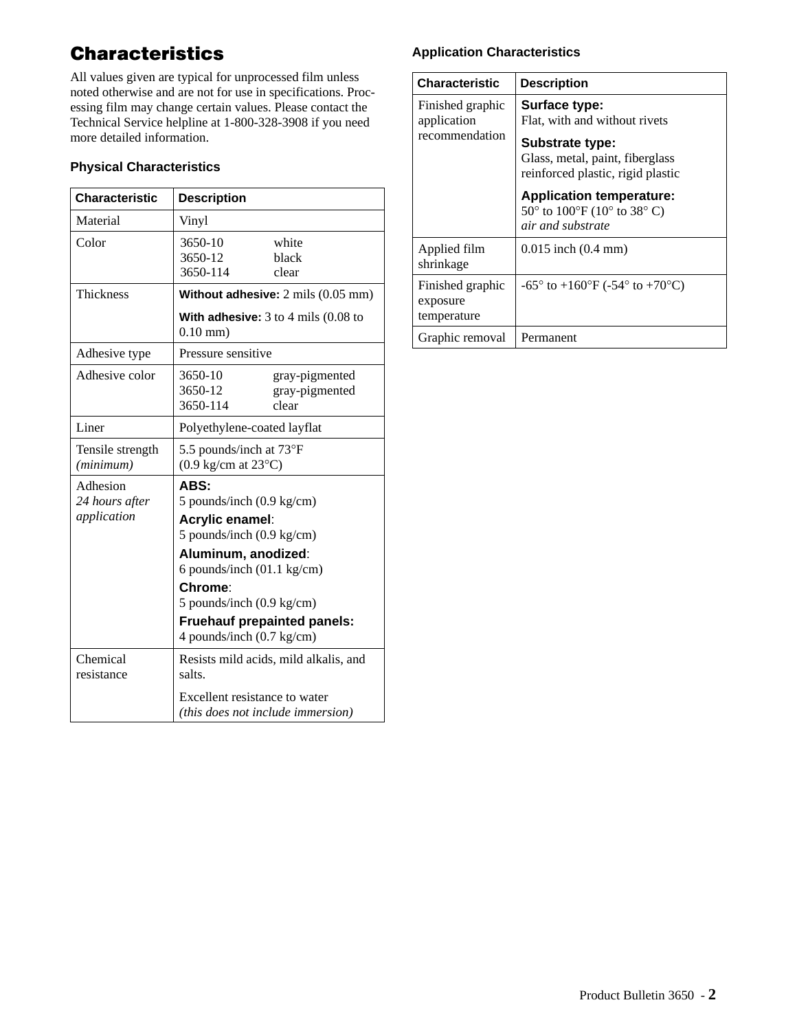### Characteristics

All values given are typical for unprocessed film unless noted otherwise and are not for use in specifications. Processing film may change certain values. Please contact the Technical Service helpline at 1-800-328-3908 if you need more detailed information.

#### **Physical Characteristics**

| <b>Characteristic</b>                     | <b>Description</b>                                                                                                                                                                                                                                                    |                                           |  |
|-------------------------------------------|-----------------------------------------------------------------------------------------------------------------------------------------------------------------------------------------------------------------------------------------------------------------------|-------------------------------------------|--|
| Material                                  | Vinyl                                                                                                                                                                                                                                                                 |                                           |  |
| Color                                     | 3650-10<br>3650-12<br>3650-114                                                                                                                                                                                                                                        | white<br>black<br>clear                   |  |
| <b>Thickness</b>                          | Without adhesive: $2 \text{ miles } (0.05 \text{ mm})$                                                                                                                                                                                                                |                                           |  |
|                                           | With adhesive: $3$ to $4$ mils (0.08 to<br>$0.10$ mm $)$                                                                                                                                                                                                              |                                           |  |
| Adhesive type                             | Pressure sensitive                                                                                                                                                                                                                                                    |                                           |  |
| Adhesive color                            | 3650-10<br>3650-12<br>3650-114                                                                                                                                                                                                                                        | gray-pigmented<br>gray-pigmented<br>clear |  |
| Liner                                     | Polyethylene-coated layflat                                                                                                                                                                                                                                           |                                           |  |
| Tensile strength<br>(minimum)             | 5.5 pounds/inch at 73°F<br>$(0.9 \text{ kg/cm at } 23^{\circ}\text{C})$                                                                                                                                                                                               |                                           |  |
| Adhesion<br>24 hours after<br>application | ABS:<br>5 pounds/inch $(0.9 \text{ kg/cm})$<br>Acrylic enamel:<br>5 pounds/inch (0.9 kg/cm)<br>Aluminum, anodized:<br>6 pounds/inch $(01.1 \text{ kg/cm})$<br>Chrome:<br>5 pounds/inch (0.9 kg/cm)<br><b>Fruehauf prepainted panels:</b><br>4 pounds/inch (0.7 kg/cm) |                                           |  |
| Chemical<br>resistance                    | salts.                                                                                                                                                                                                                                                                | Resists mild acids, mild alkalis, and     |  |
|                                           | Excellent resistance to water<br>(this does not include immersion)                                                                                                                                                                                                    |                                           |  |

#### **Application Characteristics**

| <b>Characteristic</b>                             | <b>Description</b>                                                                                                           |
|---------------------------------------------------|------------------------------------------------------------------------------------------------------------------------------|
| Finished graphic<br>application<br>recommendation | <b>Surface type:</b><br>Flat, with and without rivets                                                                        |
|                                                   | Substrate type:<br>Glass, metal, paint, fiberglass<br>reinforced plastic, rigid plastic                                      |
|                                                   | <b>Application temperature:</b><br>50 $^{\circ}$ to 100 $^{\circ}$ F (10 $^{\circ}$ to 38 $^{\circ}$ C)<br>air and substrate |
| Applied film<br>shrinkage                         | $0.015$ inch $(0.4$ mm)                                                                                                      |
| Finished graphic<br>exposure<br>temperature       | $-65^{\circ}$ to $+160^{\circ}$ F ( $-54^{\circ}$ to $+70^{\circ}$ C)                                                        |
| Graphic removal                                   | Permanent                                                                                                                    |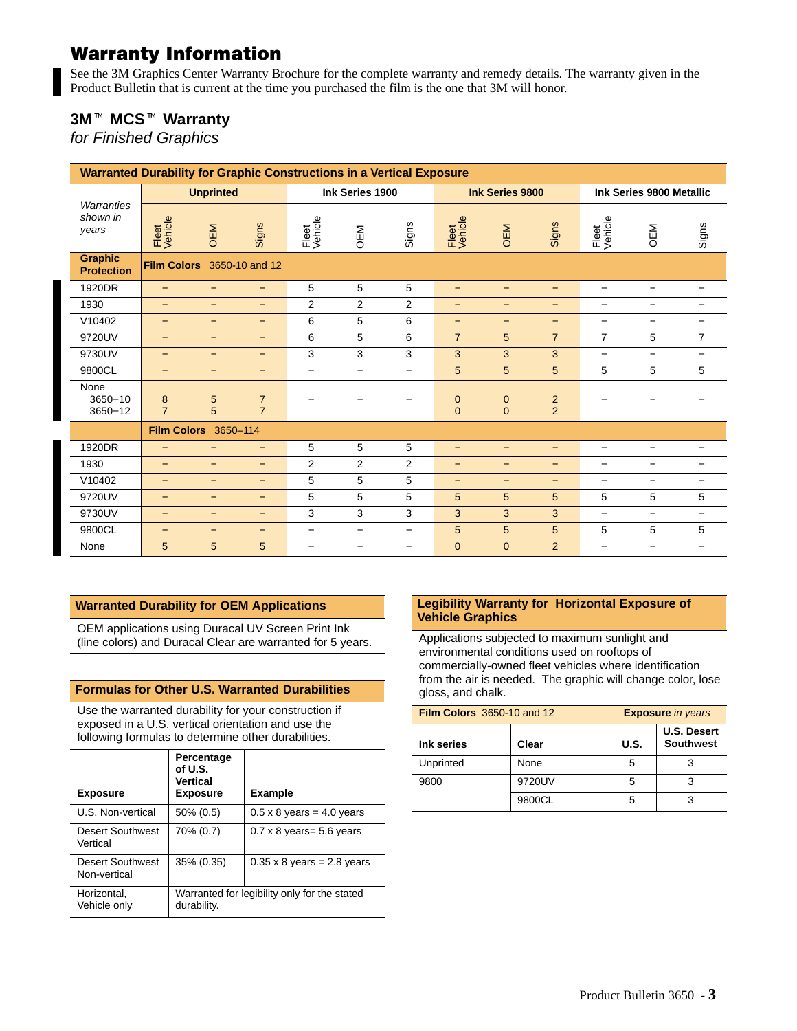### Warranty Information

See the 3M Graphics Center Warranty Brochure for the complete warranty and remedy details. The warranty given in the Product Bulletin that is current at the time you purchased the film is the one that 3M will honor.

# Product Bulletin that is current<br>**3M™ MCS™ Warranty**

*for Finished Graphics*

| Warranted Durability for Graphic Constructions in a Vertical Exposure |                             |                          |                                  |                   |                          |                          |                            |                             |                                  |                          |                          |                          |
|-----------------------------------------------------------------------|-----------------------------|--------------------------|----------------------------------|-------------------|--------------------------|--------------------------|----------------------------|-----------------------------|----------------------------------|--------------------------|--------------------------|--------------------------|
|                                                                       | <b>Unprinted</b>            |                          | Ink Series 1900                  |                   | Ink Series 9800          |                          | Ink Series 9800 Metallic   |                             |                                  |                          |                          |                          |
| Warranties<br>shown in<br>years                                       | Fleet<br>Vehicle            | OEM                      | Signs                            | Fleet<br>Vehicle  | OEM                      | Signs                    | Fleet<br>Vehicle           | OEM                         | Signs                            | Fleet<br>Vehicle         | OEM                      | Signs                    |
| <b>Graphic</b><br><b>Protection</b>                                   | Film Colors 3650-10 and 12  |                          |                                  |                   |                          |                          |                            |                             |                                  |                          |                          |                          |
| 1920DR                                                                | $\qquad \qquad -$           | $\overline{\phantom{0}}$ | -                                | 5                 | 5                        | 5                        | $\qquad \qquad -$          | $\qquad \qquad -$           | $\qquad \qquad -$                | $\overline{\phantom{0}}$ | $\overline{\phantom{0}}$ | $\overline{\phantom{0}}$ |
| 1930                                                                  | —                           | $\overline{\phantom{0}}$ | -                                | 2                 | 2                        | 2                        | $\qquad \qquad -$          | $\overline{\phantom{0}}$    | $\qquad \qquad -$                |                          | $\overline{\phantom{0}}$ | $\overline{\phantom{0}}$ |
| V10402                                                                | $\qquad \qquad -$           | $\overline{\phantom{0}}$ | -                                | 6                 | 5                        | 6                        | $\qquad \qquad -$          | $\qquad \qquad -$           | $\qquad \qquad -$                | $\overline{\phantom{m}}$ | $\overline{\phantom{m}}$ | $\qquad \qquad$          |
| 9720UV                                                                | $-$                         | -                        | -                                | 6                 | 5                        | 6                        | $\overline{7}$             | 5                           | $\overline{7}$                   | $\overline{7}$           | 5                        | $\overline{7}$           |
| 9730UV                                                                | $-$                         | $-$                      | $\qquad \qquad -$                | 3                 | 3                        | 3                        | 3                          | 3                           | 3                                | $\overline{\phantom{0}}$ | $\overline{\phantom{0}}$ |                          |
| 9800CL                                                                | $\qquad \qquad -$           | -                        | -                                | $\qquad \qquad -$ | $\overline{\phantom{0}}$ | $\overline{\phantom{m}}$ | 5                          | 5                           | 5                                | 5                        | 5                        | 5                        |
| None<br>$3650 - 10$<br>3650-12                                        | $\bf 8$<br>$\overline{7}$   | 5<br>5                   | $\overline{7}$<br>$\overline{7}$ |                   |                          |                          | $\mathbf 0$<br>$\mathbf 0$ | $\mathbf 0$<br>$\mathbf{0}$ | $\overline{2}$<br>$\overline{2}$ |                          |                          |                          |
|                                                                       | <b>Film Colors</b> 3650-114 |                          |                                  |                   |                          |                          |                            |                             |                                  |                          |                          |                          |
| 1920DR                                                                | $-$                         | -                        | -                                | 5                 | 5                        | 5                        | $\qquad \qquad -$          | $\qquad \qquad -$           | $\qquad \qquad -$                | $\overline{\phantom{m}}$ | $\qquad \qquad -$        | $\overline{\phantom{0}}$ |
| 1930                                                                  | $-$                         | -                        | -                                | 2                 | 2                        | $\overline{2}$           | $\qquad \qquad -$          | $\qquad \qquad -$           | $\qquad \qquad -$                | $\overline{\phantom{m}}$ | $\overline{\phantom{m}}$ | $\qquad \qquad -$        |
| V10402                                                                | $-$                         | -                        | $-$                              | 5                 | 5                        | 5                        | $\qquad \qquad -$          | $\qquad \qquad -$           | $\qquad \qquad -$                | $\overline{\phantom{m}}$ | $\overline{\phantom{m}}$ | $\qquad \qquad -$        |
| 9720UV                                                                | $-$                         | -                        | -                                | 5                 | 5                        | 5                        | 5                          | 5                           | 5                                | 5                        | 5                        | 5                        |
| 9730UV                                                                | $\overline{\phantom{0}}$    | $-$                      | $\qquad \qquad -$                | 3                 | 3                        | 3                        | 3                          | 3                           | 3                                | $\overline{\phantom{0}}$ | $\overline{\phantom{m}}$ |                          |
| 9800CL                                                                | $\qquad \qquad -$           | -                        | -                                | $\qquad \qquad -$ | $\qquad \qquad -$        | $\overline{\phantom{m}}$ | 5                          | 5                           | 5                                | 5                        | 5                        | 5                        |
| None                                                                  | 5                           | 5                        | 5                                | -                 | —                        | $\overline{\phantom{m}}$ | $\mathbf{0}$               | $\mathbf{0}$                | 2                                | $\overline{\phantom{0}}$ | $\overline{\phantom{m}}$ |                          |

#### **Warranted Durability for OEM Applications**

OEM applications using Duracal UV Screen Print Ink (line colors) and Duracal Clear are warranted for 5 years.

#### **Formulas for Other U.S. Warranted Durabilities**

Use the warranted durability for your construction if exposed in a U.S. vertical orientation and use the following formulas to determine other durabilities.

| <b>Exposure</b>                     | Percentage<br>of U.S.<br><b>Vertical</b><br><b>Exposure</b> | <b>Example</b>                               |
|-------------------------------------|-------------------------------------------------------------|----------------------------------------------|
| U.S. Non-vertical                   | 50% (0.5)                                                   | $0.5 \times 8$ years = 4.0 years             |
| <b>Desert Southwest</b><br>Vertical | 70% (0.7)                                                   | $0.7 \times 8$ years = 5.6 years             |
| Desert Southwest<br>Non-vertical    | 35% (0.35)                                                  | $0.35 \times 8$ years = 2.8 years            |
| Horizontal.<br>Vehicle only         | durability.                                                 | Warranted for legibility only for the stated |

#### **Legibility Warranty for Horizontal Exposure of Vehicle Graphics**

Applications subjected to maximum sunlight and environmental conditions used on rooftops of commercially-owned fleet vehicles where identification from the air is needed. The graphic will change color, lose gloss, and chalk.

| <b>Film Colors</b> 3650-10 and 12 | <b>Exposure in years</b> |                                        |  |  |
|-----------------------------------|--------------------------|----------------------------------------|--|--|
| <b>Ink series</b>                 | U.S.                     | <b>U.S. Desert</b><br><b>Southwest</b> |  |  |
| Unprinted                         | None                     | 5                                      |  |  |
| 9800                              | 9720UV                   | 5                                      |  |  |
|                                   | 9800CL                   | 5                                      |  |  |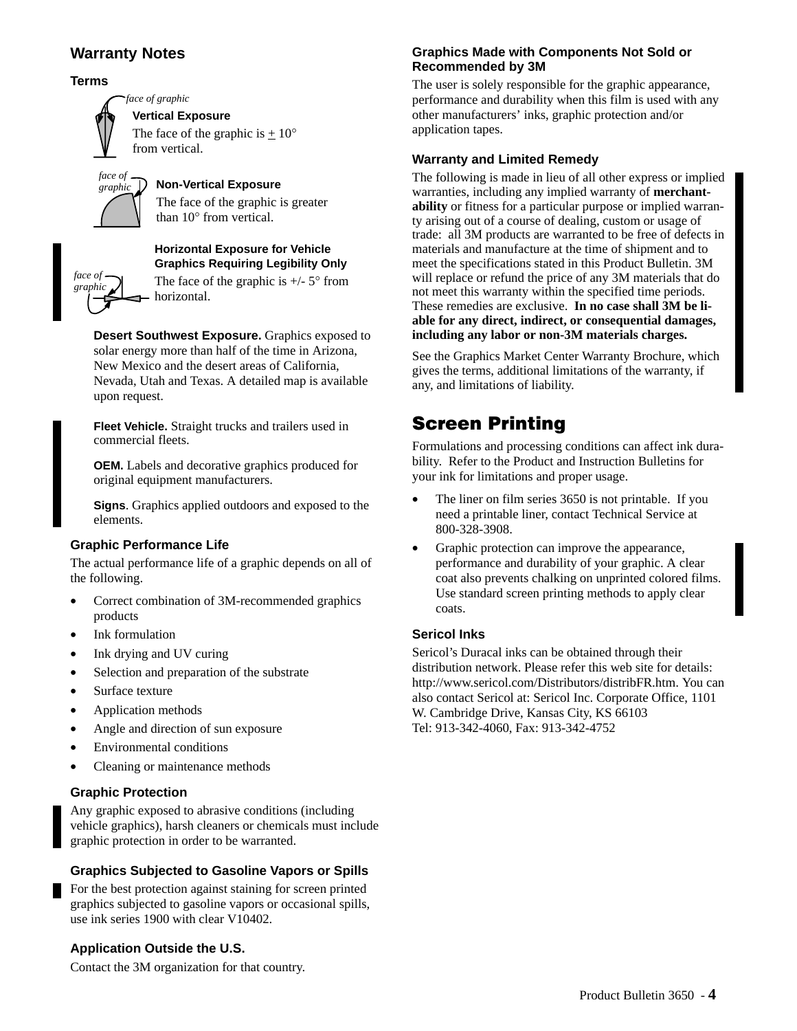### **Warranty Notes**

#### **Terms**

#### **Vertical Exposure** *face of graphic*

The face of the graphic is  $\pm 10^{\circ}$ from vertical.

**Non-Vertical Exposure**

The face of the graphic is greater than 10° from vertical.



*face of graphic*

> **Graphics Requiring Legibility Only** The face of the graphic is  $+/- 5^{\circ}$  from horizontal.

**Horizontal Exposure for Vehicle**

**Desert Southwest Exposure.** Graphics exposed to solar energy more than half of the time in Arizona, New Mexico and the desert areas of California, Nevada, Utah and Texas. A detailed map is available upon request.

**Fleet Vehicle.** Straight trucks and trailers used in commercial fleets.

**OEM.** Labels and decorative graphics produced for original equipment manufacturers.

**Signs**. Graphics applied outdoors and exposed to the elements.

#### **Graphic Performance Life**

The actual performance life of a graphic depends on all of the following.

- Correct combination of 3M-recommended graphics products
- Ink formulation
- Ink drying and UV curing
- Selection and preparation of the substrate
- Surface texture
- Application methods
- Angle and direction of sun exposure
- Environmental conditions
- Cleaning or maintenance methods

#### **Graphic Protection**

Any graphic exposed to abrasive conditions (including vehicle graphics), harsh cleaners or chemicals must include graphic protection in order to be warranted.

#### **Graphics Subjected to Gasoline Vapors or Spills**

For the best protection against staining for screen printed graphics subjected to gasoline vapors or occasional spills, use ink series 1900 with clear V10402.

#### **Application Outside the U.S.**

Contact the 3M organization for that country.

#### **Graphics Made with Components Not Sold or Recommended by 3M**

The user is solely responsible for the graphic appearance, performance and durability when this film is used with any other manufacturers' inks, graphic protection and/or application tapes.

#### **Warranty and Limited Remedy**

The following is made in lieu of all other express or implied warranties, including any implied warranty of **merchantability** or fitness for a particular purpose or implied warranty arising out of a course of dealing, custom or usage of trade: all 3M products are warranted to be free of defects in materials and manufacture at the time of shipment and to meet the specifications stated in this Product Bulletin. 3M will replace or refund the price of any 3M materials that do not meet this warranty within the specified time periods. These remedies are exclusive. **In no case shall 3M be liable for any direct, indirect, or consequential damages, including any labor or non-3M materials charges.**

See the Graphics Market Center Warranty Brochure, which gives the terms, additional limitations of the warranty, if any, and limitations of liability.

### Screen Printing

Formulations and processing conditions can affect ink durability. Refer to the Product and Instruction Bulletins for your ink for limitations and proper usage.

- The liner on film series 3650 is not printable. If you need a printable liner, contact Technical Service at 800-328-3908.
- Graphic protection can improve the appearance, performance and durability of your graphic. A clear coat also prevents chalking on unprinted colored films. Use standard screen printing methods to apply clear coats.

#### **Sericol Inks**

Sericol's Duracal inks can be obtained through their distribution network. Please refer this web site for details: http://www.sericol.com/Distributors/distribFR.htm. You can also contact Sericol at: Sericol Inc. Corporate Office, 1101 W. Cambridge Drive, Kansas City, KS 66103 Tel: 913-342-4060, Fax: 913-342-4752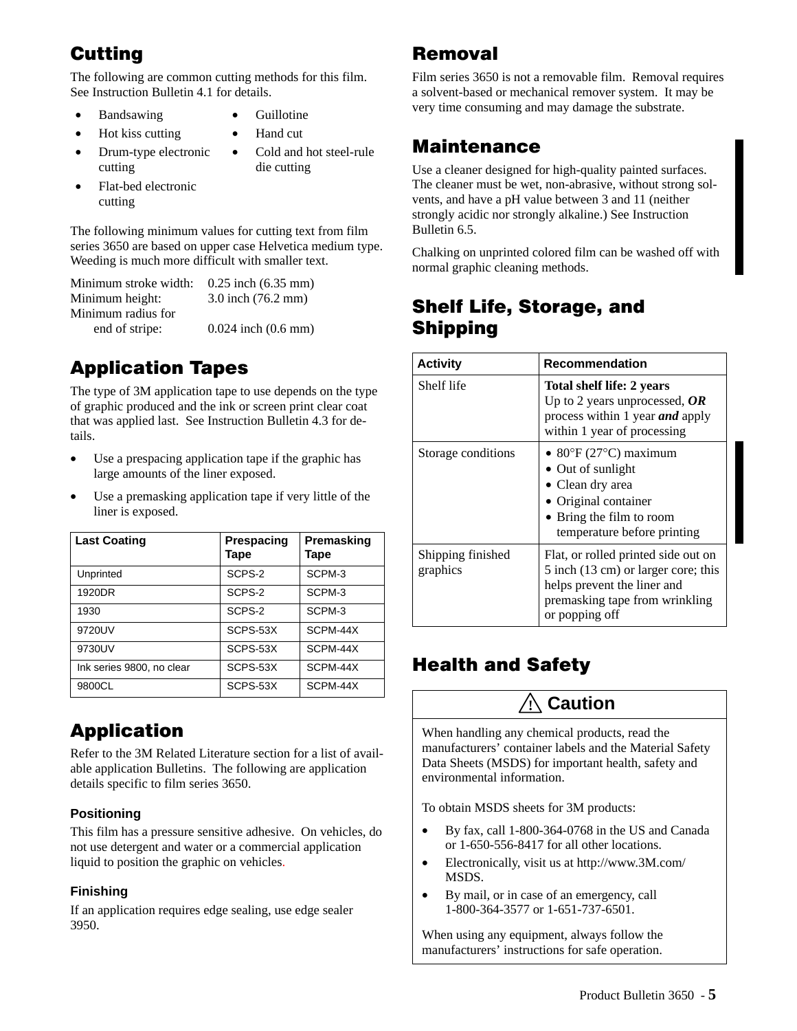### **Cutting**

The following are common cutting methods for this film. See Instruction Bulletin 4.1 for details.

> **Guillotine** • Hand cut

die cutting

Cold and hot steel-rule

- Bandsawing
- Hot kiss cutting
- Drum-type electronic cutting
- Flat-bed electronic cutting

The following minimum values for cutting text from film series 3650 are based on upper case Helvetica medium type. Weeding is much more difficult with smaller text.

| Minimum stroke width: | $0.25$ inch $(6.35$ mm)      |
|-----------------------|------------------------------|
| Minimum height:       | 3.0 inch $(76.2 \text{ mm})$ |
| Minimum radius for    |                              |
| end of stripe:        | $0.024$ inch $(0.6$ mm)      |

## Application Tapes

The type of 3M application tape to use depends on the type of graphic produced and the ink or screen print clear coat that was applied last. See Instruction Bulletin 4.3 for details.

- Use a prespacing application tape if the graphic has large amounts of the liner exposed.
- Use a premasking application tape if very little of the liner is exposed.

| <b>Last Coating</b>       | Prespacing<br>Tape | Premasking<br>Tape |
|---------------------------|--------------------|--------------------|
| Unprinted                 | SCPS-2             | SCPM-3             |
| 1920DR                    | SCPS-2             | SCPM-3             |
| 1930                      | SCPS-2             | SCPM-3             |
| 9720UV                    | SCPS-53X           | SCPM-44X           |
| 9730UV                    | SCPS-53X           | SCPM-44X           |
| Ink series 9800, no clear | SCPS-53X           | SCPM-44X           |
| 9800CL                    | SCPS-53X           | SCPM-44X           |

### Application

Refer to the 3M Related Literature section for a list of available application Bulletins. The following are application details specific to film series 3650.

### **Positioning**

This film has a pressure sensitive adhesive. On vehicles, do not use detergent and water or a commercial application liquid to position the graphic on vehicles.

### **Finishing**

If an application requires edge sealing, use edge sealer 3950.

### Removal

Film series 3650 is not a removable film. Removal requires a solvent-based or mechanical remover system. It may be very time consuming and may damage the substrate.

### Maintenance

Use a cleaner designed for high-quality painted surfaces. The cleaner must be wet, non-abrasive, without strong solvents, and have a pH value between 3 and 11 (neither strongly acidic nor strongly alkaline.) See Instruction Bulletin 6.5.

Chalking on unprinted colored film can be washed off with normal graphic cleaning methods.

### Shelf Life, Storage, and Shipping

| <b>Activity</b>               | <b>Recommendation</b>                                                                                                                                                                  |
|-------------------------------|----------------------------------------------------------------------------------------------------------------------------------------------------------------------------------------|
| Shelf life                    | <b>Total shelf life: 2 years</b><br>Up to 2 years unprocessed, $OR$<br>process within 1 year <i>and</i> apply<br>within 1 year of processing                                           |
| Storage conditions            | • 80 $\mathrm{^{\circ}F}$ (27 $\mathrm{^{\circ}C}$ ) maximum<br>• Out of sunlight<br>• Clean dry area<br>Original container<br>• Bring the film to room<br>temperature before printing |
| Shipping finished<br>graphics | Flat, or rolled printed side out on<br>5 inch (13 cm) or larger core; this<br>helps prevent the liner and<br>premasking tape from wrinkling<br>or popping off                          |

### Health and Safety

## **! Caution**

When handling any chemical products, read the manufacturers' container labels and the Material Safety Data Sheets (MSDS) for important health, safety and environmental information.

To obtain MSDS sheets for 3M products:

- By fax, call 1-800-364-0768 in the US and Canada or 1-650-556-8417 for all other locations.
- Electronically, visit us at http://www.3M.com/ MSDS.
- By mail, or in case of an emergency, call 1-800-364-3577 or 1-651-737-6501.

When using any equipment, always follow the manufacturers' instructions for safe operation.